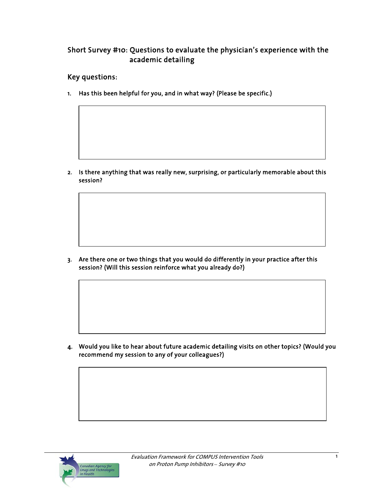# Short Survey #10: Questions to evaluate the physician's experience with the academic detailing

#### Key questions:

1. Has this been helpful for you, and in what way? (Please be specific.)

2. Is there anything that was really new, surprising, or particularly memorable about this session?

3. Are there one or two things that you would do differently in your practice after this session? (Will this session reinforce what you already do?)

4. Would you like to hear about future academic detailing visits on other topics? (Would you recommend my session to any of your colleagues?)

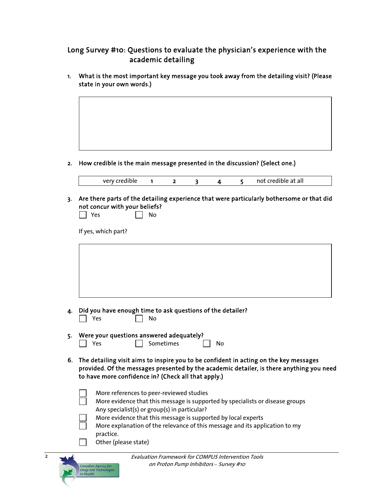## Long Survey #10: Questions to evaluate the physician's experience with the academic detailing

1. What is the most important key message you took away from the detailing visit? (Please state in your own words.)



2. How credible is the main message presented in the discussion? (Select one.)

| very credible |  |  | not credible at all |
|---------------|--|--|---------------------|
|               |  |  |                     |

3. Are there parts of the detailing experience that were particularly bothersome or that did not concur with your beliefs?

| <b>Yes</b> | Nο |
|------------|----|
|------------|----|

If yes, which part?

| 4. | Did you have enough time to ask questions of the detailer?<br>Yes<br>No                                                                                                                                                                  |
|----|------------------------------------------------------------------------------------------------------------------------------------------------------------------------------------------------------------------------------------------|
| 5. | Were your questions answered adequately?<br>Sometimes<br>Yes<br>No                                                                                                                                                                       |
| 6. | The detailing visit aims to inspire you to be confident in acting on the key messages<br>provided. Of the messages presented by the academic detailer, is there anything you need<br>to have more confidence in? (Check all that apply.) |
|    | More references to peer-reviewed studies<br>More evidence that this message is supported by specialists or disease groups                                                                                                                |
|    | Any specialist(s) or group(s) in particular?<br>More evidence that this message is supported by local experts<br>More explanation of the relevance of this message and its application to my                                             |
|    | practice.<br>Other (please state)                                                                                                                                                                                                        |

2

nadian Agency for<br>rugs and Technologi<br>Harlth n Health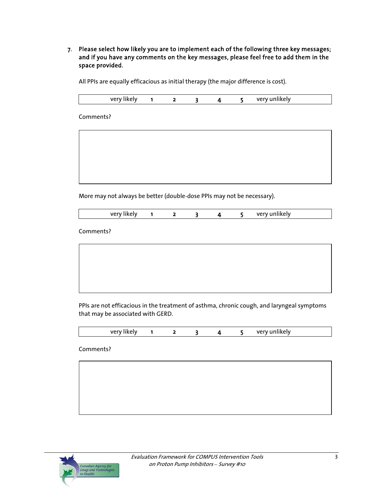7. Please select how likely you are to implement each of the following three key messages; and if you have any comments on the key messages, please feel free to add them in the space provided.

All PPIs are equally efficacious as initial therapy (the major difference is cost).

| <b>Ver</b><br>ver<br>.<br>likely<br>likely<br>$\cdot$ . |  |
|---------------------------------------------------------|--|
|---------------------------------------------------------|--|

Comments?

More may not always be better (double-dose PPIs may not be necessary).

| $\sim$ $\sim$ $\sim$ $\sim$ $\sim$ $\sim$<br>VF |  |  |  |  |  |  | verv unlikelv |  |
|-------------------------------------------------|--|--|--|--|--|--|---------------|--|
|-------------------------------------------------|--|--|--|--|--|--|---------------|--|

Comments?

PPIs are not efficacious in the treatment of asthma, chronic cough, and laryngeal symptoms that may be associated with GERD.

| very likely |  |  | very unlikely |
|-------------|--|--|---------------|
|             |  |  |               |

Comments?

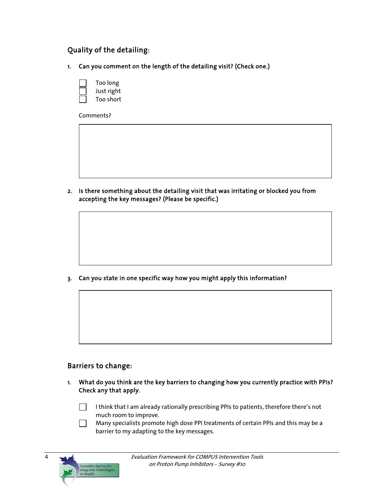## Quality of the detailing:

1. Can you comment on the length of the detailing visit? (Check one.)

| Too long   |
|------------|
| Just right |
| Too short  |

Comments?

2. Is there something about the detailing visit that was irritating or blocked you from accepting the key messages? (Please be specific.)

3. Can you state in one specific way how you might apply this information?

#### Barriers to change:

Canadian Agency for<br>Drugs and Technolog<br>in Health

4

1. What do you think are the key barriers to changing how you currently practice with PPIs? Check any that apply.

 I think that I am already rationally prescribing PPIs to patients, therefore there's not much room to improve.

 Many specialists promote high dose PPI treatments of certain PPIs and this may be a barrier to my adapting to the key messages.